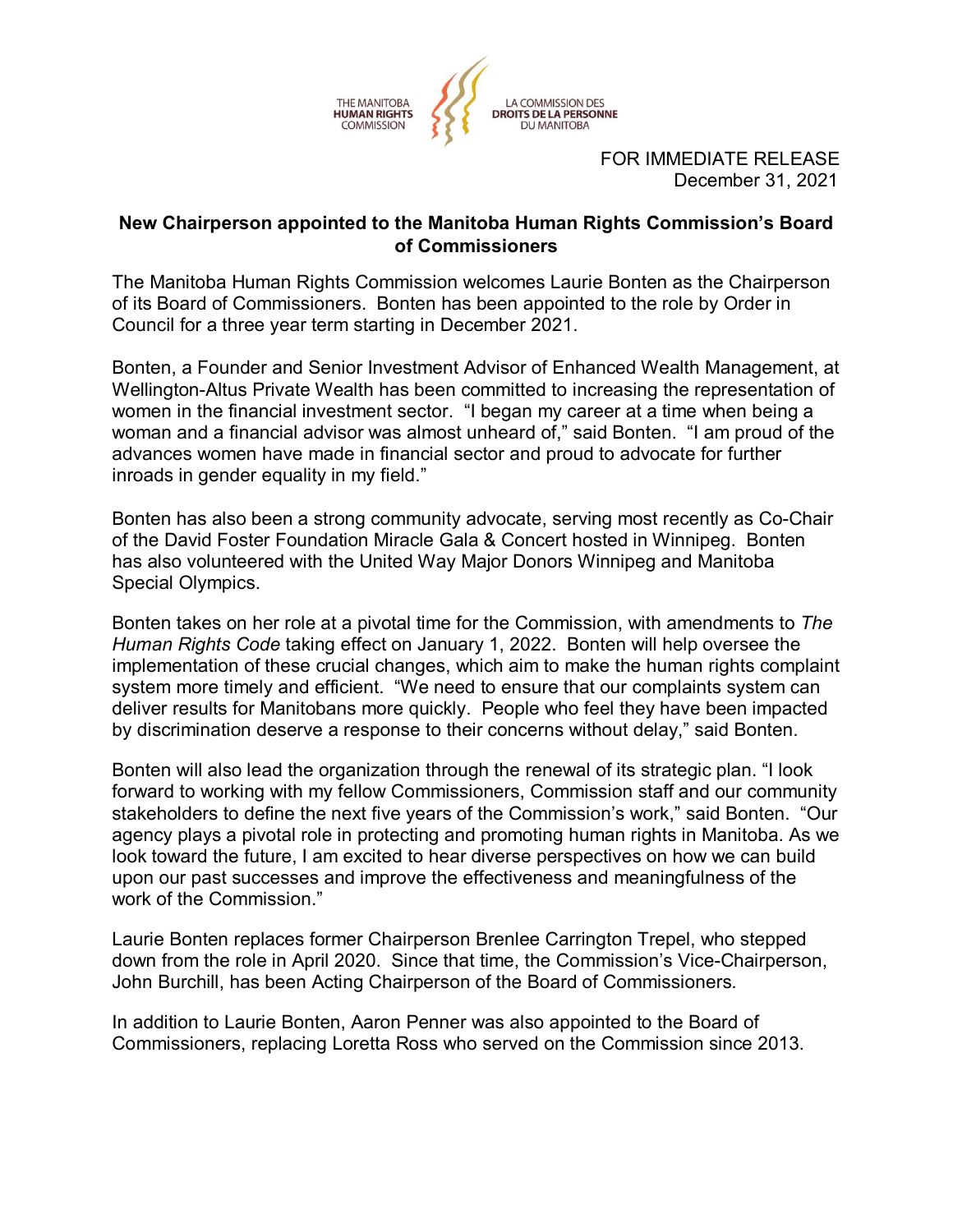

FOR IMMEDIATE RELEASE December 31, 2021

## **New Chairperson appointed to the Manitoba Human Rights Commission's Board of Commissioners**

The Manitoba Human Rights Commission welcomes Laurie Bonten as the Chairperson of its Board of Commissioners. Bonten has been appointed to the role by Order in Council for a three year term starting in December 2021.

Bonten, a Founder and Senior Investment Advisor of Enhanced Wealth Management, at Wellington-Altus Private Wealth has been committed to increasing the representation of women in the financial investment sector. "I began my career at a time when being a woman and a financial advisor was almost unheard of," said Bonten. "I am proud of the advances women have made in financial sector and proud to advocate for further inroads in gender equality in my field."

Bonten has also been a strong community advocate, serving most recently as Co-Chair of the David Foster Foundation Miracle Gala & Concert hosted in Winnipeg. Bonten has also volunteered with the United Way Major Donors Winnipeg and Manitoba Special Olympics.

Bonten takes on her role at a pivotal time for the Commission, with amendments to *The Human Rights Code* taking effect on January 1, 2022. Bonten will help oversee the implementation of these crucial changes, which aim to make the human rights complaint system more timely and efficient. "We need to ensure that our complaints system can deliver results for Manitobans more quickly. People who feel they have been impacted by discrimination deserve a response to their concerns without delay," said Bonten.

Bonten will also lead the organization through the renewal of its strategic plan. "I look forward to working with my fellow Commissioners, Commission staff and our community stakeholders to define the next five years of the Commission's work," said Bonten. "Our agency plays a pivotal role in protecting and promoting human rights in Manitoba. As we look toward the future, I am excited to hear diverse perspectives on how we can build upon our past successes and improve the effectiveness and meaningfulness of the work of the Commission."

Laurie Bonten replaces former Chairperson Brenlee Carrington Trepel, who stepped down from the role in April 2020. Since that time, the Commission's Vice-Chairperson, John Burchill, has been Acting Chairperson of the Board of Commissioners.

In addition to Laurie Bonten, Aaron Penner was also appointed to the Board of Commissioners, replacing Loretta Ross who served on the Commission since 2013.